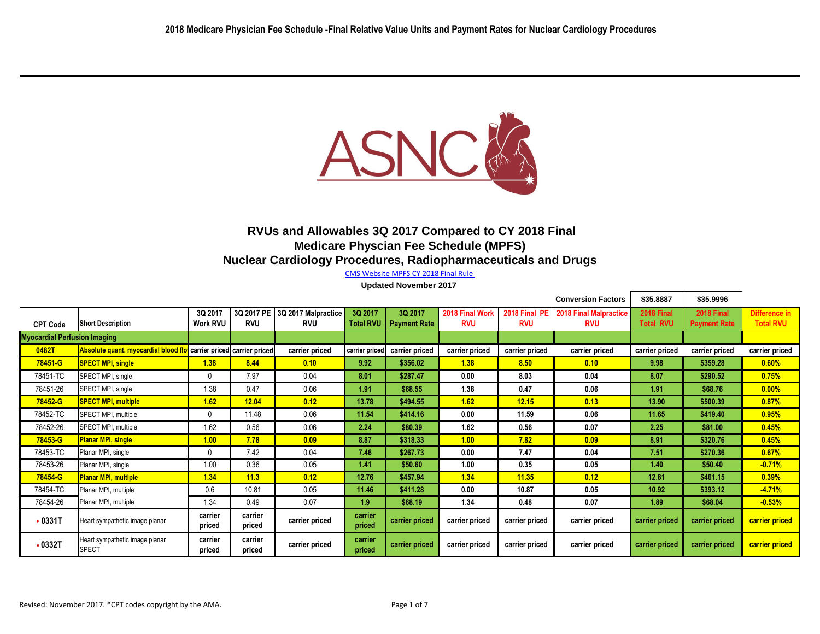

## **RVUs and Allowables 3Q 2017 Compared to CY 2018 Final Medicare Physcian Fee Schedule (MPFS) Nuclear Cardiology Procedures, Radiopharmaceuticals and Drugs**

CMS Website MPFS CY 2018 Final Rule

**Updated November 2017** 

|                                     |                                                                    |                            |                          |                                   |                             |                                |                               |                             | <b>Conversion Factors</b>            | \$35.8887                             | \$35.9996                         |                                   |
|-------------------------------------|--------------------------------------------------------------------|----------------------------|--------------------------|-----------------------------------|-----------------------------|--------------------------------|-------------------------------|-----------------------------|--------------------------------------|---------------------------------------|-----------------------------------|-----------------------------------|
| <b>CPT Code</b>                     | <b>Short Description</b>                                           | 3Q 2017<br><b>Work RVU</b> | 3Q 2017 PE<br><b>RVU</b> | 3Q 2017 Malpractice<br><b>RVU</b> | 3Q 2017<br><b>Total RVU</b> | 3Q 2017<br><b>Payment Rate</b> | 2018 Final Work<br><b>RVU</b> | 2018 Final PE<br><b>RVU</b> | 2018 Final Malpractice<br><b>RVU</b> | <b>2018 Final</b><br><b>Total RVU</b> | 2018 Final<br><b>Payment Rate</b> | Difference in<br><b>Total RVU</b> |
| <b>Myocardial Perfusion Imaging</b> |                                                                    |                            |                          |                                   |                             |                                |                               |                             |                                      |                                       |                                   |                                   |
| 0482T                               | Absolute quant. myocardial blood flo carrier priced carrier priced |                            |                          | carrier priced                    | carrier priced              | carrier priced                 | carrier priced                | carrier priced              | carrier priced                       | carrier priced                        | carrier priced                    | carrier priced                    |
| 78451-G                             | <b>SPECT MPI, single</b>                                           | 1.38                       | 8.44                     | 0.10                              | 9.92                        | \$356.02                       | 1.38                          | 8.50                        | 0.10                                 | 9.98                                  | \$359.28                          | 0.60%                             |
| 78451-TC                            | SPECT MPI, single                                                  | $\mathbf 0$                | 7.97                     | 0.04                              | 8.01                        | \$287.47                       | 0.00                          | 8.03                        | 0.04                                 | 8.07                                  | \$290.52                          | 0.75%                             |
| 78451-26                            | SPECT MPI, single                                                  | 1.38                       | 0.47                     | 0.06                              | 1.91                        | \$68.55                        | 1.38                          | 0.47                        | 0.06                                 | 1.91                                  | \$68.76                           | $0.00\%$                          |
| 78452-G                             | <b>SPECT MPI, multiple</b>                                         | 1.62                       | 12.04                    | 0.12                              | 13.78                       | \$494.55                       | 1.62                          | 12.15                       | 0.13                                 | 13.90                                 | \$500.39                          | 0.87%                             |
| 78452-TC                            | SPECT MPI, multiple                                                | $\mathbf 0$                | 11.48                    | 0.06                              | 11.54                       | \$414.16                       | 0.00                          | 11.59                       | 0.06                                 | 11.65                                 | \$419.40                          | 0.95%                             |
| 78452-26                            | SPECT MPI, multiple                                                | 1.62                       | 0.56                     | 0.06                              | 2.24                        | \$80.39                        | 1.62                          | 0.56                        | 0.07                                 | 2.25                                  | \$81.00                           | 0.45%                             |
| 78453-G                             | <b>Planar MPI, single</b>                                          | 1.00                       | 7.78                     | 0.09                              | 8.87                        | \$318.33                       | 1.00                          | 7.82                        | 0.09                                 | 8.91                                  | \$320.76                          | 0.45%                             |
| 78453-TC                            | Planar MPI, single                                                 | $\mathbf 0$                | 7.42                     | 0.04                              | 7.46                        | \$267.73                       | 0.00                          | 7.47                        | 0.04                                 | 7.51                                  | \$270.36                          | 0.67%                             |
| 78453-26                            | Planar MPI, single                                                 | 1.00                       | 0.36                     | 0.05                              | 1.41                        | \$50.60                        | 1.00                          | 0.35                        | 0.05                                 | 1.40                                  | \$50.40                           | $-0.71%$                          |
| 78454-G                             | <b>Planar MPI, multiple</b>                                        | 1.34                       | 11.3                     | 0.12                              | 12.76                       | \$457.94                       | 1.34                          | 11.35                       | 0.12                                 | 12.81                                 | \$461.15                          | 0.39%                             |
| 78454-TC                            | Planar MPI, multiple                                               | 0.6                        | 10.81                    | 0.05                              | 11.46                       | \$411.28                       | 0.00                          | 10.87                       | 0.05                                 | 10.92                                 | \$393.12                          | $-4.71%$                          |
| 78454-26                            | Planar MPI, multiple                                               | 1.34                       | 0.49                     | 0.07                              | 1.9                         | \$68.19                        | 1.34                          | 0.48                        | 0.07                                 | 1.89                                  | \$68.04                           | $-0.53%$                          |
| $-0331T$                            | Heart sympathetic image planar                                     | carrier<br>priced          | carrier<br>priced        | carrier priced                    | carrier<br>priced           | carrier priced                 | carrier priced                | carrier priced              | carrier priced                       | carrier priced                        | carrier priced                    | carrier priced                    |
| •0332T                              | Heart sympathetic image planar<br><b>SPECT</b>                     | carrier<br>priced          | carrier<br>priced        | carrier priced                    | carrier<br>priced           | carrier priced                 | carrier priced                | carrier priced              | carrier priced                       | carrier priced                        | carrier priced                    | carrier priced                    |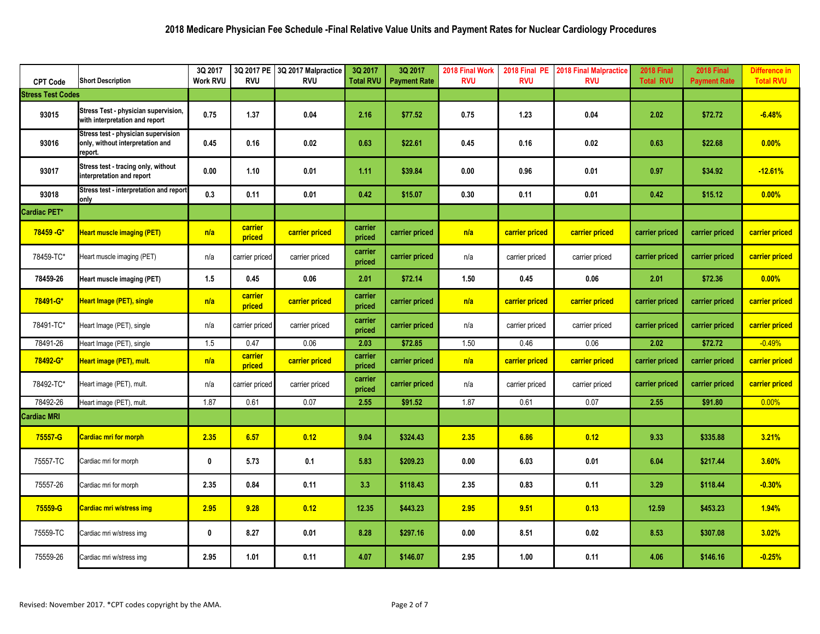| <b>CPT Code</b>          | <b>Short Description</b>                                                           | 3Q 2017<br><b>Work RVU</b> | 3Q 2017 PE<br><b>RVU</b> | 3Q 2017 Malpractice<br><b>RVU</b> | 3Q 2017<br>Total RVU | 3Q 2017<br><b>Payment Rate</b> | 2018 Final Work<br><b>RVU</b> | 2018 Final PE<br><b>RVU</b> | <b>2018 Final Malpractice</b><br><b>RVU</b> | 2018 Final<br><b>Total RVU</b> | <b>2018 Final</b><br><b>Payment Rate</b> | <b>Difference in</b><br><b>Total RVU</b> |
|--------------------------|------------------------------------------------------------------------------------|----------------------------|--------------------------|-----------------------------------|----------------------|--------------------------------|-------------------------------|-----------------------------|---------------------------------------------|--------------------------------|------------------------------------------|------------------------------------------|
| <b>Stress Test Codes</b> |                                                                                    |                            |                          |                                   |                      |                                |                               |                             |                                             |                                |                                          |                                          |
| 93015                    | Stress Test - physician supervision,<br>with interpretation and report             | 0.75                       | 1.37                     | 0.04                              | 2.16                 | \$77.52                        | 0.75                          | 1.23                        | 0.04                                        | 2.02                           | \$72.72                                  | $-6.48%$                                 |
| 93016                    | Stress test - physician supervision<br>only, without interpretation and<br>report. | 0.45                       | 0.16                     | 0.02                              | 0.63                 | \$22.61                        | 0.45                          | 0.16                        | 0.02                                        | 0.63                           | \$22.68                                  | 0.00%                                    |
| 93017                    | Stress test - tracing only, without<br>interpretation and report                   | 0.00                       | 1.10                     | 0.01                              | 1.11                 | \$39.84                        | 0.00                          | 0.96                        | 0.01                                        | 0.97                           | \$34.92                                  | $-12.61%$                                |
| 93018                    | Stress test - interpretation and report<br>only                                    | 0.3                        | 0.11                     | 0.01                              | 0.42                 | \$15.07                        | 0.30                          | 0.11                        | 0.01                                        | 0.42                           | \$15.12                                  | 0.00%                                    |
| <b>Cardiac PET*</b>      |                                                                                    |                            |                          |                                   |                      |                                |                               |                             |                                             |                                |                                          |                                          |
| 78459 - G*               | <b>Heart muscle imaging (PET)</b>                                                  | n/a                        | carrier<br>priced        | carrier priced                    | carrier<br>priced    | carrier priced                 | n/a                           | carrier priced              | carrier priced                              | carrier priced                 | carrier priced                           | carrier priced                           |
| 78459-TC*                | Heart muscle imaging (PET)                                                         | n/a                        | carrier priced           | carrier priced                    | carrier<br>priced    | carrier priced                 | n/a                           | carrier priced              | carrier priced                              | carrier priced                 | carrier priced                           | carrier priced                           |
| 78459-26                 | Heart muscle imaging (PET)                                                         | 1.5                        | 0.45                     | 0.06                              | 2.01                 | \$72.14                        | 1.50                          | 0.45                        | 0.06                                        | 2.01                           | \$72.36                                  | 0.00%                                    |
| 78491-G*                 | <b>Heart Image (PET), single</b>                                                   | n/a                        | carrier<br>priced        | carrier priced                    | carrier<br>priced    | carrier priced                 | n/a                           | carrier priced              | carrier priced                              | carrier priced                 | carrier priced                           | carrier priced                           |
| 78491-TC*                | Heart Image (PET), single                                                          | n/a                        | carrier priced           | carrier priced                    | carrier<br>priced    | carrier priced                 | n/a                           | carrier priced              | carrier priced                              | carrier priced                 | carrier priced                           | carrier priced                           |
| 78491-26                 | Heart Image (PET), single                                                          | 1.5                        | 0.47                     | 0.06                              | 2.03                 | \$72.85                        | 1.50                          | 0.46                        | 0.06                                        | 2.02                           | \$72.72                                  | $-0.49%$                                 |
| 78492-G*                 | Heart image (PET), mult.                                                           | n/a                        | carrier<br>priced        | carrier priced                    | carrier<br>priced    | carrier priced                 | n/a                           | carrier priced              | carrier priced                              | carrier priced                 | carrier priced                           | carrier priced                           |
| 78492-TC*                | Heart image (PET), mult.                                                           | n/a                        | carrier priced           | carrier priced                    | carrier<br>priced    | carrier priced                 | n/a                           | carrier priced              | carrier priced                              | carrier priced                 | carrier priced                           | carrier priced                           |
| 78492-26                 | Heart image (PET), mult.                                                           | 1.87                       | 0.61                     | 0.07                              | 2.55                 | \$91.52                        | 1.87                          | 0.61                        | 0.07                                        | 2.55                           | \$91.80                                  | 0.00%                                    |
| <b>Cardiac MRI</b>       |                                                                                    |                            |                          |                                   |                      |                                |                               |                             |                                             |                                |                                          |                                          |
| 75557-G                  | <b>Cardiac mri for morph</b>                                                       | 2.35                       | 6.57                     | 0.12                              | 9.04                 | \$324.43                       | 2.35                          | 6.86                        | 0.12                                        | 9.33                           | \$335.88                                 | 3.21%                                    |
| 75557-TC                 | Cardiac mri for morph                                                              | $\boldsymbol{0}$           | 5.73                     | 0.1                               | 5.83                 | \$209.23                       | 0.00                          | 6.03                        | 0.01                                        | 6.04                           | \$217.44                                 | 3.60%                                    |
| 75557-26                 | Cardiac mri for morph                                                              | 2.35                       | 0.84                     | 0.11                              | 3.3                  | \$118.43                       | 2.35                          | 0.83                        | 0.11                                        | 3.29                           | \$118.44                                 | $-0.30%$                                 |
| 75559-G                  | <b>Cardiac mri w/stress img</b>                                                    | 2.95                       | 9.28                     | 0.12                              | 12.35                | \$443.23                       | 2.95                          | 9.51                        | 0.13                                        | 12.59                          | \$453.23                                 | 1.94%                                    |
| 75559-TC                 | Cardiac mri w/stress img                                                           | $\bm{0}$                   | 8.27                     | 0.01                              | 8.28                 | \$297.16                       | 0.00                          | 8.51                        | 0.02                                        | 8.53                           | \$307.08                                 | 3.02%                                    |
| 75559-26                 | Cardiac mri w/stress img                                                           | 2.95                       | 1.01                     | 0.11                              | 4.07                 | \$146.07                       | 2.95                          | 1.00                        | 0.11                                        | 4.06                           | \$146.16                                 | $-0.25%$                                 |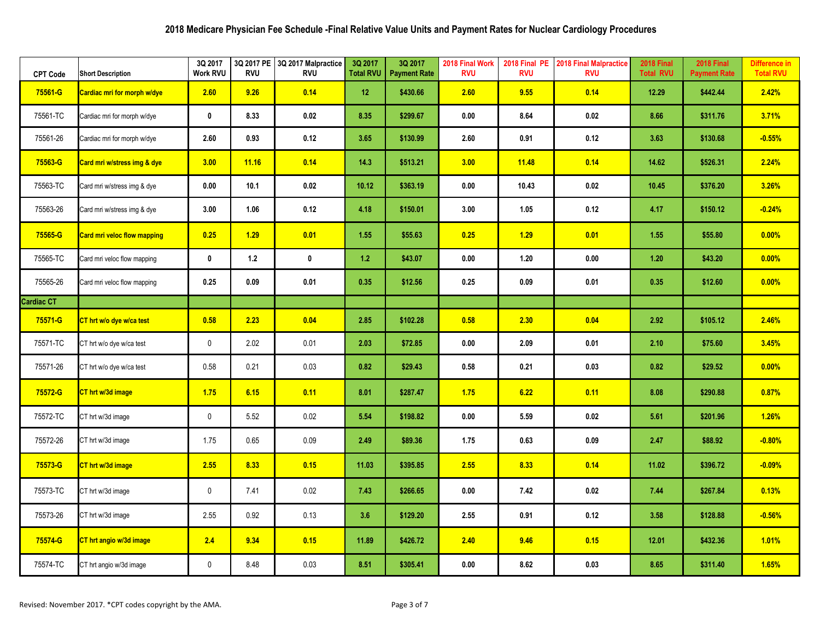| <b>CPT Code</b>   | <b>Short Description</b>           | 3Q 2017<br><b>Work RVU</b> | 3Q 2017 PE<br><b>RVU</b> | 3Q 2017 Malpractice<br><b>RVU</b> | 3Q 2017<br><b>Total RVU</b> | 3Q 2017<br><b>Payment Rate</b> | 2018 Final Work<br><b>RVU</b> | 2018 Final PE<br><b>RVU</b> | <b>2018 Final Malpractice</b><br><b>RVU</b> | <b>2018 Final</b><br><b>Total RVU</b> | <b>2018 Final</b><br><b>Payment Rate</b> | Difference in<br><b>Total RVU</b> |
|-------------------|------------------------------------|----------------------------|--------------------------|-----------------------------------|-----------------------------|--------------------------------|-------------------------------|-----------------------------|---------------------------------------------|---------------------------------------|------------------------------------------|-----------------------------------|
| 75561-G           | Cardiac mri for morph w/dye        | 2.60                       | 9.26                     | 0.14                              | 12                          | \$430.66                       | 2.60                          | 9.55                        | 0.14                                        | 12.29                                 | \$442.44                                 | 2.42%                             |
| 75561-TC          | Cardiac mri for morph w/dye        | $\mathbf 0$                | 8.33                     | 0.02                              | 8.35                        | \$299.67                       | 0.00                          | 8.64                        | 0.02                                        | 8.66                                  | \$311.76                                 | 3.71%                             |
| 75561-26          | Cardiac mri for morph w/dye        | 2.60                       | 0.93                     | 0.12                              | 3.65                        | \$130.99                       | 2.60                          | 0.91                        | 0.12                                        | 3.63                                  | \$130.68                                 | $-0.55%$                          |
| 75563-G           | Card mri w/stress img & dye        | 3.00                       | 11.16                    | 0.14                              | 14.3                        | \$513.21                       | 3.00                          | 11.48                       | 0.14                                        | 14.62                                 | \$526.31                                 | 2.24%                             |
| 75563-TC          | Card mri w/stress img & dye        | 0.00                       | 10.1                     | 0.02                              | 10.12                       | \$363.19                       | 0.00                          | 10.43                       | 0.02                                        | 10.45                                 | \$376.20                                 | 3.26%                             |
| 75563-26          | Card mri w/stress img & dye        | 3.00                       | 1.06                     | 0.12                              | 4.18                        | \$150.01                       | 3.00                          | 1.05                        | 0.12                                        | 4.17                                  | \$150.12                                 | $-0.24%$                          |
| 75565-G           | <b>Card mri veloc flow mapping</b> | 0.25                       | 1.29                     | 0.01                              | 1.55                        | \$55.63                        | 0.25                          | 1.29                        | 0.01                                        | 1.55                                  | \$55.80                                  | 0.00%                             |
| 75565-TC          | Card mri veloc flow mapping        | $\mathbf 0$                | $1.2$                    | $\mathbf 0$                       | 1.2                         | \$43.07                        | 0.00                          | 1.20                        | 0.00                                        | $1.20$                                | \$43.20                                  | 0.00%                             |
| 75565-26          | Card mri veloc flow mapping        | 0.25                       | 0.09                     | 0.01                              | 0.35                        | \$12.56                        | 0.25                          | 0.09                        | 0.01                                        | 0.35                                  | \$12.60                                  | 0.00%                             |
| <b>Cardiac CT</b> |                                    |                            |                          |                                   |                             |                                |                               |                             |                                             |                                       |                                          |                                   |
| 75571-G           | CT hrt w/o dye w/ca test           | 0.58                       | 2.23                     | 0.04                              | 2.85                        | \$102.28                       | 0.58                          | 2.30                        | 0.04                                        | 2.92                                  | \$105.12                                 | 2.46%                             |
| 75571-TC          | CT hrt w/o dye w/ca test           | $\mathbf 0$                | 2.02                     | 0.01                              | 2.03                        | \$72.85                        | 0.00                          | 2.09                        | 0.01                                        | 2.10                                  | \$75.60                                  | 3.45%                             |
| 75571-26          | CT hrt w/o dye w/ca test           | 0.58                       | 0.21                     | 0.03                              | 0.82                        | \$29.43                        | 0.58                          | 0.21                        | 0.03                                        | 0.82                                  | \$29.52                                  | 0.00%                             |
| 75572-G           | CT hrt w/3d image                  | 1.75                       | 6.15                     | 0.11                              | 8.01                        | \$287.47                       | 1.75                          | 6.22                        | 0.11                                        | 8.08                                  | \$290.88                                 | 0.87%                             |
| 75572-TC          | CT hrt w/3d image                  | $\mathbf 0$                | 5.52                     | 0.02                              | 5.54                        | \$198.82                       | 0.00                          | 5.59                        | 0.02                                        | 5.61                                  | \$201.96                                 | 1.26%                             |
| 75572-26          | CT hrt w/3d image                  | 1.75                       | 0.65                     | 0.09                              | 2.49                        | \$89.36                        | 1.75                          | 0.63                        | 0.09                                        | 2.47                                  | \$88.92                                  | $-0.80%$                          |
| 75573-G           | CT hrt w/3d image                  | 2.55                       | 8.33                     | 0.15                              | 11.03                       | \$395.85                       | 2.55                          | 8.33                        | 0.14                                        | 11.02                                 | \$396.72                                 | $-0.09%$                          |
| 75573-TC          | CT hrt w/3d image                  | $\mathbf 0$                | 7.41                     | 0.02                              | 7.43                        | \$266.65                       | 0.00                          | 7.42                        | 0.02                                        | 7.44                                  | \$267.84                                 | 0.13%                             |
| 75573-26          | CT hrt w/3d image                  | 2.55                       | 0.92                     | 0.13                              | 3.6                         | \$129.20                       | 2.55                          | 0.91                        | 0.12                                        | 3.58                                  | \$128.88                                 | $-0.56%$                          |
| 75574-G           | CT hrt angio w/3d image            | 2.4                        | 9.34                     | 0.15                              | 11.89                       | \$426.72                       | 2.40                          | 9.46                        | 0.15                                        | 12.01                                 | \$432.36                                 | 1.01%                             |
| 75574-TC          | CT hrt angio w/3d image            | $\mathbf 0$                | 8.48                     | 0.03                              | 8.51                        | \$305.41                       | 0.00                          | 8.62                        | 0.03                                        | 8.65                                  | \$311.40                                 | 1.65%                             |